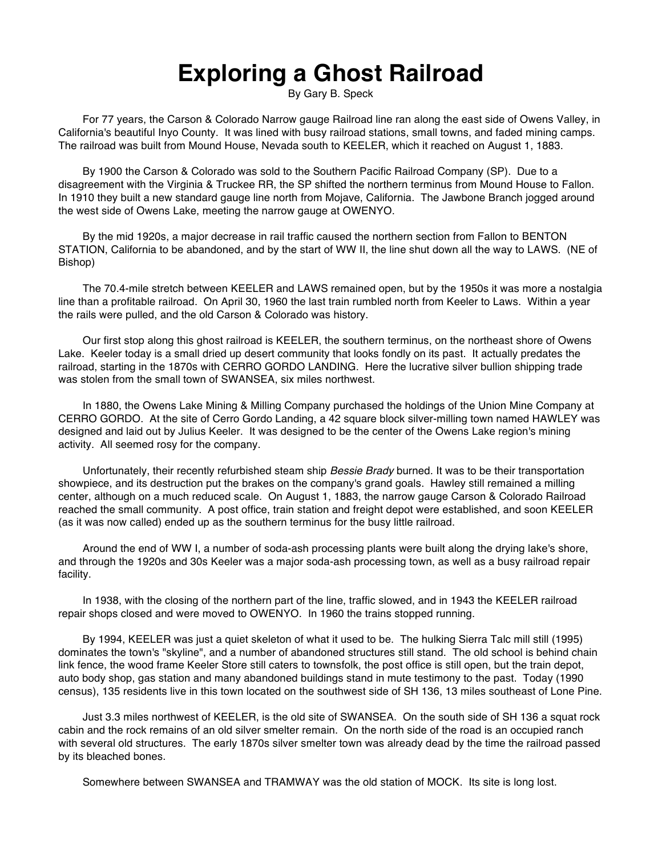## **Exploring a Ghost Railroad**

By Gary B. Speck

For 77 years, the Carson & Colorado Narrow gauge Railroad line ran along the east side of Owens Valley, in California's beautiful Inyo County. It was lined with busy railroad stations, small towns, and faded mining camps. The railroad was built from Mound House, Nevada south to KEELER, which it reached on August 1, 1883.

By 1900 the Carson & Colorado was sold to the Southern Pacific Railroad Company (SP). Due to a disagreement with the Virginia & Truckee RR, the SP shifted the northern terminus from Mound House to Fallon. In 1910 they built a new standard gauge line north from Mojave, California. The Jawbone Branch jogged around the west side of Owens Lake, meeting the narrow gauge at OWENYO.

By the mid 1920s, a major decrease in rail traffic caused the northern section from Fallon to BENTON STATION, California to be abandoned, and by the start of WW II, the line shut down all the way to LAWS. (NE of Bishop)

The 70.4-mile stretch between KEELER and LAWS remained open, but by the 1950s it was more a nostalgia line than a profitable railroad. On April 30, 1960 the last train rumbled north from Keeler to Laws. Within a year the rails were pulled, and the old Carson & Colorado was history.

Our first stop along this ghost railroad is KEELER, the southern terminus, on the northeast shore of Owens Lake. Keeler today is a small dried up desert community that looks fondly on its past. It actually predates the railroad, starting in the 1870s with CERRO GORDO LANDING. Here the lucrative silver bullion shipping trade was stolen from the small town of SWANSEA, six miles northwest.

In 1880, the Owens Lake Mining & Milling Company purchased the holdings of the Union Mine Company at CERRO GORDO. At the site of Cerro Gordo Landing, a 42 square block silver-milling town named HAWLEY was designed and laid out by Julius Keeler. It was designed to be the center of the Owens Lake region's mining activity. All seemed rosy for the company.

Unfortunately, their recently refurbished steam ship *Bessie Brady* burned. It was to be their transportation showpiece, and its destruction put the brakes on the company's grand goals. Hawley still remained a milling center, although on a much reduced scale. On August 1, 1883, the narrow gauge Carson & Colorado Railroad reached the small community. A post office, train station and freight depot were established, and soon KEELER (as it was now called) ended up as the southern terminus for the busy little railroad.

Around the end of WW I, a number of soda-ash processing plants were built along the drying lake's shore, and through the 1920s and 30s Keeler was a major soda-ash processing town, as well as a busy railroad repair facility.

In 1938, with the closing of the northern part of the line, traffic slowed, and in 1943 the KEELER railroad repair shops closed and were moved to OWENYO. In 1960 the trains stopped running.

By 1994, KEELER was just a quiet skeleton of what it used to be. The hulking Sierra Talc mill still (1995) dominates the town's "skyline", and a number of abandoned structures still stand. The old school is behind chain link fence, the wood frame Keeler Store still caters to townsfolk, the post office is still open, but the train depot, auto body shop, gas station and many abandoned buildings stand in mute testimony to the past. Today (1990 census), 135 residents live in this town located on the southwest side of SH 136, 13 miles southeast of Lone Pine.

Just 3.3 miles northwest of KEELER, is the old site of SWANSEA. On the south side of SH 136 a squat rock cabin and the rock remains of an old silver smelter remain. On the north side of the road is an occupied ranch with several old structures. The early 1870s silver smelter town was already dead by the time the railroad passed by its bleached bones.

Somewhere between SWANSEA and TRAMWAY was the old station of MOCK. Its site is long lost.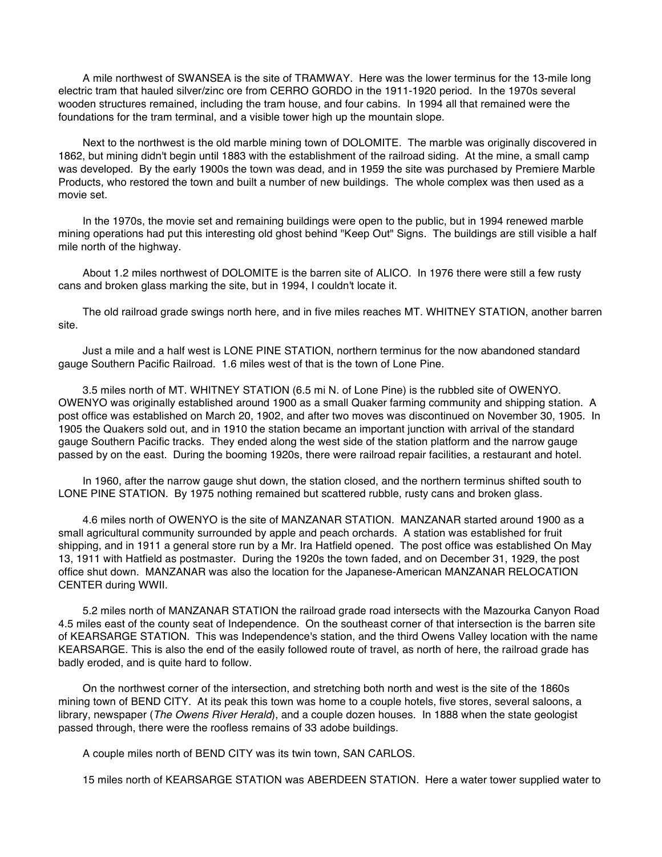A mile northwest of SWANSEA is the site of TRAMWAY. Here was the lower terminus for the 13-mile long electric tram that hauled silver/zinc ore from CERRO GORDO in the 1911-1920 period. In the 1970s several wooden structures remained, including the tram house, and four cabins. In 1994 all that remained were the foundations for the tram terminal, and a visible tower high up the mountain slope.

Next to the northwest is the old marble mining town of DOLOMITE. The marble was originally discovered in 1862, but mining didn't begin until 1883 with the establishment of the railroad siding. At the mine, a small camp was developed. By the early 1900s the town was dead, and in 1959 the site was purchased by Premiere Marble Products, who restored the town and built a number of new buildings. The whole complex was then used as a movie set.

In the 1970s, the movie set and remaining buildings were open to the public, but in 1994 renewed marble mining operations had put this interesting old ghost behind "Keep Out" Signs. The buildings are still visible a half mile north of the highway.

About 1.2 miles northwest of DOLOMITE is the barren site of ALICO. In 1976 there were still a few rusty cans and broken glass marking the site, but in 1994, I couldn't locate it.

The old railroad grade swings north here, and in five miles reaches MT. WHITNEY STATION, another barren site.

Just a mile and a half west is LONE PINE STATION, northern terminus for the now abandoned standard gauge Southern Pacific Railroad. 1.6 miles west of that is the town of Lone Pine.

3.5 miles north of MT. WHITNEY STATION (6.5 mi N. of Lone Pine) is the rubbled site of OWENYO. OWENYO was originally established around 1900 as a small Quaker farming community and shipping station. A post office was established on March 20, 1902, and after two moves was discontinued on November 30, 1905. In 1905 the Quakers sold out, and in 1910 the station became an important junction with arrival of the standard gauge Southern Pacific tracks. They ended along the west side of the station platform and the narrow gauge passed by on the east. During the booming 1920s, there were railroad repair facilities, a restaurant and hotel.

In 1960, after the narrow gauge shut down, the station closed, and the northern terminus shifted south to LONE PINE STATION. By 1975 nothing remained but scattered rubble, rusty cans and broken glass.

4.6 miles north of OWENYO is the site of MANZANAR STATION. MANZANAR started around 1900 as a small agricultural community surrounded by apple and peach orchards. A station was established for fruit shipping, and in 1911 a general store run by a Mr. Ira Hatfield opened. The post office was established On May 13, 1911 with Hatfield as postmaster. During the 1920s the town faded, and on December 31, 1929, the post office shut down. MANZANAR was also the location for the Japanese-American MANZANAR RELOCATION CENTER during WWII.

5.2 miles north of MANZANAR STATION the railroad grade road intersects with the Mazourka Canyon Road 4.5 miles east of the county seat of Independence. On the southeast corner of that intersection is the barren site of KEARSARGE STATION. This was Independence's station, and the third Owens Valley location with the name KEARSARGE. This is also the end of the easily followed route of travel, as north of here, the railroad grade has badly eroded, and is quite hard to follow.

On the northwest corner of the intersection, and stretching both north and west is the site of the 1860s mining town of BEND CITY. At its peak this town was home to a couple hotels, five stores, several saloons, a library, newspaper (*The Owens River Herald*), and a couple dozen houses. In 1888 when the state geologist passed through, there were the roofless remains of 33 adobe buildings.

A couple miles north of BEND CITY was its twin town, SAN CARLOS.

15 miles north of KEARSARGE STATION was ABERDEEN STATION. Here a water tower supplied water to